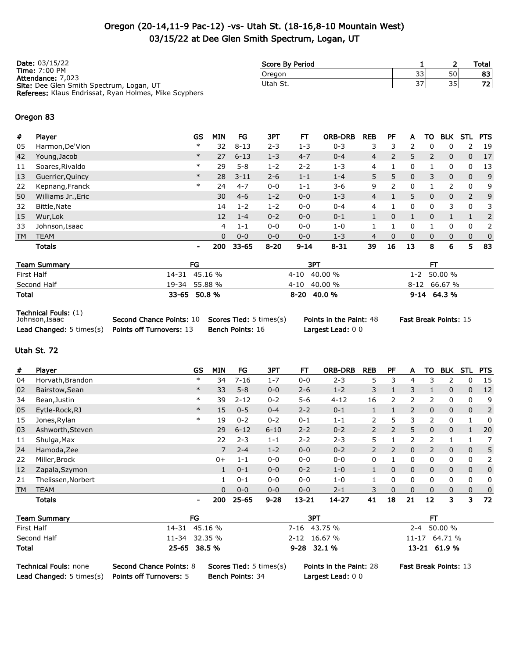### Oregon (20-14,11-9 Pac-12) -vs- Utah St. (18-16,8-10 Mountain West) 03/15/22 at Dee Glen Smith Spectrum, Logan, UT

| <b>Date: 03/15/22</b>                                        | Score By Period |    |    | Total |
|--------------------------------------------------------------|-----------------|----|----|-------|
| <b>Time: 7:00 PM</b><br>Attendance: 7,023                    | Oregon          | 33 | 50 | 83    |
| Site: Dee Glen Smith Spectrum, Logan, UT                     | Utah St.        | 37 | 35 | 721   |
| <b>Referees:</b> Klaus Endrissat, Ryan Holmes, Mike Scyphers |                 |    |    |       |

#### Oregon 83

| #   | Player             | <b>GS</b>      | <b>MIN</b> | FG        | ЗРТ      | FТ       | <b>ORB-DRB</b> | <b>REB</b> | PF             | А  | то             | <b>BLK</b>  | <b>STL</b>     | <b>PTS</b>   |
|-----|--------------------|----------------|------------|-----------|----------|----------|----------------|------------|----------------|----|----------------|-------------|----------------|--------------|
| 05  | Harmon, De'Vion    | $\ast$         | 32         | $8 - 13$  | $2 - 3$  | 1-3      | $0 - 3$        | 3          | 3              | フ  |                | 0           | 2              | 19           |
| 42  | Young, Jacob       | $\ast$         | 27         | $6 - 13$  | $1 - 3$  | $4 - 7$  | $0 - 4$        | 4          | $\overline{2}$ | 5  | $\overline{2}$ | $\mathbf 0$ | $\mathbf 0$    | 17           |
| 11  | Soares, Rivaldo    | $\ast$         | 29         | $5 - 8$   | $1 - 2$  | $2 - 2$  | $1 - 3$        | 4          |                | 0  |                | 0           | 0              | -13          |
| 13  | Guerrier, Quincy   | $\ast$         | 28         | $3 - 11$  | $2 - 6$  | $1 - 1$  | $1 - 4$        | 5.         | 5              | 0  | 3              | 0           | $\Omega$       | 9            |
| 22  | Kepnang, Franck    | $\ast$         | 24         | $4 - 7$   | $0 - 0$  | $1 - 1$  | $3 - 6$        | 9          | っ              | 0  |                | 2           | 0              | 9            |
| 50  | Williams Jr., Eric |                | 30         | $4 - 6$   | $1 - 2$  | $0 - 0$  | $1 - 3$        | 4          |                | 5  | $\mathbf{0}$   | 0           | $\overline{2}$ | 9            |
| 32  | Bittle, Nate       |                | 14         | $1 - 2$   | $1 - 2$  | $0 - 0$  | $0 - 4$        | 4          |                | 0  | 0              | 3           | 0              | 3            |
| 15  | Wur, Lok           |                | 12         | $1 - 4$   | $0 - 2$  | $0 - 0$  | $0 - 1$        |            | 0              |    | $\Omega$       |             |                | 2            |
| 33  | Johnson, Isaac     |                | 4          | $1 - 1$   | $0 - 0$  | $0 - 0$  | $1 - 0$        |            |                | 0  |                | 0           | 0              | 2            |
| TM. | <b>TEAM</b>        |                | $\Omega$   | $0 - 0$   | $0 - 0$  | $0 - 0$  | $1 - 3$        | 4          | 0              | 0  | $\Omega$       | 0           | $\mathbf{0}$   | $\mathbf{0}$ |
|     | Totals             | $\blacksquare$ | 200        | $33 - 65$ | $8 - 20$ | $9 - 14$ | $8 - 31$       | 39         | 16             | 13 | 8              | 6           | 5              | 83           |
|     |                    |                |            |           |          |          |                |            |                |    |                |             |                |              |

| <b>Team Summary</b> | FG            | 3PT            |                 |
|---------------------|---------------|----------------|-----------------|
| First Half          | 14-31 45.16 % | 4-10 40.00 %   | $1 - 2$ 50.00 % |
| Second Half         | 19-34 55.88 % | $4-10$ 40.00 % | $8-12$ 66.67 %  |
| Total               | 33-65 50.8 %  | 8-20 40.0 %    | $9-14$ 64.3%    |

Technical Fouls: (1)

| Johnson,Isaac                   | <b>Second Chance Points: 10 Scores Tied: 5 times (s)</b> |                         |
|---------------------------------|----------------------------------------------------------|-------------------------|
| <b>Lead Changed:</b> 5 times(s) | <b>Points off Turnovers: 13</b>                          | <b>Bench Points: 16</b> |

Largest Lead: 0 0

 $\mathcal{S}$ ) Points in the Paint: 48 Fast Break Points: 15

### Utah St. 72

| #         | Player             | <b>GS</b>      | <b>MIN</b>   | FG       | ЗРТ      | FТ        | <b>ORB-DRB</b> | <b>REB</b>     | PF            | A              | то           | <b>BLK</b>   | STL          | <b>PTS</b>   |
|-----------|--------------------|----------------|--------------|----------|----------|-----------|----------------|----------------|---------------|----------------|--------------|--------------|--------------|--------------|
| 04        | Horvath, Brandon   | ∗              | 34           | $7 - 16$ | $1 - 7$  | $0 - 0$   | $2 - 3$        | 5              | 3             | 4              | 3            | 2            | 0            | 15           |
| 02        | Bairstow, Sean     | $\ast$         | 33           | $5 - 8$  | $0 - 0$  | $2 - 6$   | $1 - 2$        | 3              |               | 3              |              | $\mathbf{0}$ | $\mathbf{0}$ | 12           |
| 34        | Bean, Justin       | $\ast$         | 39           | $2 - 12$ | $0 - 2$  | $5 - 6$   | $4 - 12$       | 16             | $\mathcal{P}$ | 2              | 2            | 0            | 0            | 9            |
| 05        | Eytle-Rock, RJ     | $\ast$         | 15           | $0 - 5$  | $0 - 4$  | $2 - 2$   | $0 - 1$        |                |               | $\overline{2}$ | $\mathbf{0}$ | $\mathbf{0}$ | $\mathbf 0$  | 2            |
| 15        | Jones, Rylan       | $\ast$         | 19           | $0 - 2$  | $0 - 2$  | $0 - 1$   | $1 - 1$        | 2              | 5             | 3              | 2            | 0            |              | 0            |
| 03        | Ashworth, Steven   |                | 29           | $6 - 12$ | $6 - 10$ | $2 - 2$   | $0 - 2$        | $\overline{2}$ | 2             | 5              | $\mathbf{0}$ | $\mathbf{0}$ | 1            | 20           |
| 11        | Shulga, Max        |                | 22           | $2 - 3$  | $1 - 1$  | $2 - 2$   | $2 - 3$        | 5              |               | $\overline{2}$ | 2            |              |              |              |
| 24        | Hamoda, Zee        |                |              | $2 - 4$  | $1 - 2$  | $0 - 0$   | $0 - 2$        | $\overline{2}$ | 2             | $\mathbf 0$    | 2            | $\mathbf{0}$ | $\Omega$     | 5            |
| 22        | Miller, Brock      |                | $0+$         | $1 - 1$  | $0 - 0$  | $0 - 0$   | $0 - 0$        | 0              |               | 0              | 0            | 0            | 0            | 2            |
| 12        | Zapala, Szymon     |                | 1            | $0 - 1$  | $0 - 0$  | $0 - 2$   | $1 - 0$        | 1              | 0             | $\mathbf{0}$   | $\mathbf{0}$ | $\mathbf 0$  | $\mathbf{0}$ | $\mathbf{0}$ |
| 21        | Thelissen, Norbert |                |              | $0 - 1$  | $0 - 0$  | $0 - 0$   | $1 - 0$        |                | 0             | 0              | 0            | 0            | $\mathbf{0}$ | 0            |
| <b>TM</b> | <b>TEAM</b>        |                | $\mathbf{0}$ | $0 - 0$  | $0 - 0$  | $0 - 0$   | $2 - 1$        | 3              | 0             | $\mathbf 0$    | $\mathbf{0}$ | $\mathbf{0}$ | $\mathbf{0}$ | $\mathbf{0}$ |
|           | <b>Totals</b>      | $\blacksquare$ | 200          | 25-65    | $9 - 28$ | $13 - 21$ | $14 - 27$      | 41             | 18            | 21             | 12           | 3            | 3            | 72           |

| <b>Team Summary</b> | FG            | 3PT             |               |
|---------------------|---------------|-----------------|---------------|
| First Half          | 14-31 45.16 % | 7-16 43.75 %    | 2-4 50.00 %   |
| Second Half         | 11-34 32.35 % | 2-12 16.67 %    | 11-17 64.71 % |
| Total               | 25-65 38.5 %  | $9 - 28$ 32.1 % | 13-21 61.9 %  |

Lead Changed: 5 times(s) Points off Turnovers: 5 Bench Points: 34 Largest Lead: 0 0

Technical Fouls: none Second Chance Points: 8 Scores Tied: 5 times(s) Points in the Paint: 28 Fast Break Points: 13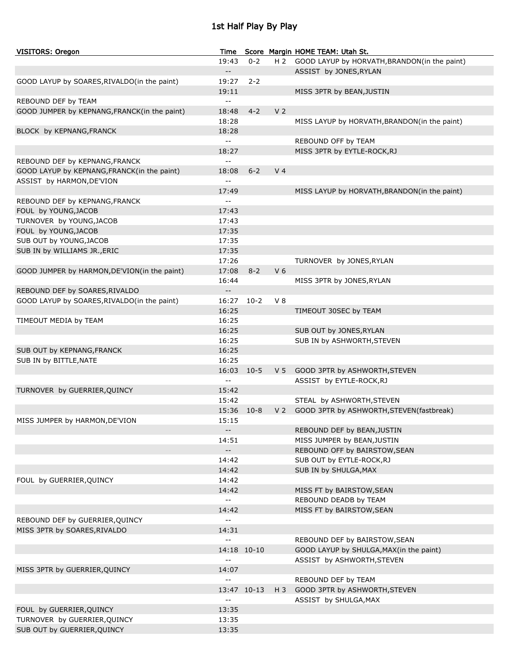# 1st Half Play By Play

| <b>VISITORS: Oregon</b>                      | Time                                          |             |                | Score Margin HOME TEAM: Utah St.                 |
|----------------------------------------------|-----------------------------------------------|-------------|----------------|--------------------------------------------------|
|                                              | 19:43                                         | $0 - 2$     |                | H 2 GOOD LAYUP by HORVATH, BRANDON(in the paint) |
|                                              | $- -$                                         |             |                | ASSIST by JONES, RYLAN                           |
| GOOD LAYUP by SOARES, RIVALDO(in the paint)  | 19:27                                         | $2 - 2$     |                |                                                  |
|                                              | 19:11                                         |             |                | MISS 3PTR by BEAN, JUSTIN                        |
| REBOUND DEF by TEAM                          | $\sim$ $\sim$                                 |             |                |                                                  |
| GOOD JUMPER by KEPNANG, FRANCK(in the paint) | 18:48                                         | $4 - 2$     | V <sub>2</sub> |                                                  |
|                                              | 18:28                                         |             |                | MISS LAYUP by HORVATH, BRANDON(in the paint)     |
| BLOCK by KEPNANG, FRANCK                     | 18:28                                         |             |                |                                                  |
|                                              | $\sim$ $\sim$                                 |             |                | REBOUND OFF by TEAM                              |
|                                              | 18:27                                         |             |                | MISS 3PTR by EYTLE-ROCK, RJ                      |
| REBOUND DEF by KEPNANG, FRANCK               | $\overline{a}$                                |             |                |                                                  |
| GOOD LAYUP by KEPNANG, FRANCK(in the paint)  | 18:08                                         | $6 - 2$     | V <sub>4</sub> |                                                  |
| ASSIST by HARMON, DE'VION                    | $-$                                           |             |                |                                                  |
|                                              | 17:49                                         |             |                | MISS LAYUP by HORVATH, BRANDON(in the paint)     |
| REBOUND DEF by KEPNANG, FRANCK               | $-$                                           |             |                |                                                  |
| FOUL by YOUNG, JACOB                         | 17:43                                         |             |                |                                                  |
| TURNOVER by YOUNG, JACOB                     | 17:43                                         |             |                |                                                  |
| FOUL by YOUNG, JACOB                         | 17:35                                         |             |                |                                                  |
| SUB OUT by YOUNG, JACOB                      | 17:35                                         |             |                |                                                  |
| SUB IN by WILLIAMS JR., ERIC                 | 17:35                                         |             |                |                                                  |
|                                              | 17:26                                         |             |                | TURNOVER by JONES, RYLAN                         |
| GOOD JUMPER by HARMON, DE'VION(in the paint) | 17:08                                         | $8 - 2$     | V <sub>6</sub> |                                                  |
|                                              | 16:44                                         |             |                | MISS 3PTR by JONES, RYLAN                        |
| REBOUND DEF by SOARES, RIVALDO               | $- -$                                         |             |                |                                                  |
| GOOD LAYUP by SOARES, RIVALDO(in the paint)  | 16:27                                         | $10-2$      | $V_8$          |                                                  |
|                                              | 16:25                                         |             |                | TIMEOUT 30SEC by TEAM                            |
| TIMEOUT MEDIA by TEAM                        | 16:25                                         |             |                |                                                  |
|                                              | 16:25                                         |             |                | SUB OUT by JONES, RYLAN                          |
|                                              | 16:25                                         |             |                | SUB IN by ASHWORTH, STEVEN                       |
| SUB OUT by KEPNANG, FRANCK                   | 16:25                                         |             |                |                                                  |
| SUB IN by BITTLE, NATE                       | 16:25                                         |             |                |                                                  |
|                                              | 16:03                                         | $10-5$      |                | V 5 GOOD 3PTR by ASHWORTH, STEVEN                |
|                                              | $-$                                           |             |                | ASSIST by EYTLE-ROCK, RJ                         |
| TURNOVER by GUERRIER, QUINCY                 | 15:42                                         |             |                |                                                  |
|                                              | 15:42                                         |             |                | STEAL by ASHWORTH, STEVEN                        |
|                                              | 15:36 10-8                                    |             |                | V 2 GOOD 3PTR by ASHWORTH, STEVEN (fastbreak)    |
| MISS JUMPER by HARMON, DE'VION               | 15:15                                         |             |                |                                                  |
|                                              | $- -$                                         |             |                | REBOUND DEF by BEAN, JUSTIN                      |
|                                              | 14:51                                         |             |                | MISS JUMPER by BEAN, JUSTIN                      |
|                                              | $\sim$                                        |             |                | REBOUND OFF by BAIRSTOW, SEAN                    |
|                                              | 14:42                                         |             |                | SUB OUT by EYTLE-ROCK, RJ                        |
|                                              | 14:42                                         |             |                | SUB IN by SHULGA, MAX                            |
| FOUL by GUERRIER, QUINCY                     | 14:42                                         |             |                |                                                  |
|                                              | 14:42                                         |             |                | MISS FT by BAIRSTOW, SEAN                        |
|                                              | $\mathord{\hspace{1pt}\text{--}\hspace{1pt}}$ |             |                | REBOUND DEADB by TEAM                            |
|                                              | 14:42                                         |             |                | MISS FT by BAIRSTOW, SEAN                        |
| REBOUND DEF by GUERRIER, QUINCY              | $\sim$ $\sim$                                 |             |                |                                                  |
| MISS 3PTR by SOARES, RIVALDO                 | 14:31                                         |             |                |                                                  |
|                                              | $\sim$ $\sim$                                 |             |                | REBOUND DEF by BAIRSTOW, SEAN                    |
|                                              |                                               | 14:18 10-10 |                | GOOD LAYUP by SHULGA, MAX(in the paint)          |
|                                              | $\sim$ $\sim$                                 |             |                | ASSIST by ASHWORTH, STEVEN                       |
| MISS 3PTR by GUERRIER, QUINCY                | 14:07                                         |             |                |                                                  |
|                                              | $\sim$ $\sim$                                 |             |                | REBOUND DEF by TEAM                              |
|                                              |                                               | 13:47 10-13 | H 3            | GOOD 3PTR by ASHWORTH, STEVEN                    |
|                                              | $\mathord{\hspace{1pt}\text{--}\hspace{1pt}}$ |             |                | ASSIST by SHULGA, MAX                            |
| FOUL by GUERRIER, QUINCY                     | 13:35                                         |             |                |                                                  |
| TURNOVER by GUERRIER, QUINCY                 | 13:35                                         |             |                |                                                  |
| SUB OUT by GUERRIER, QUINCY                  | 13:35                                         |             |                |                                                  |
|                                              |                                               |             |                |                                                  |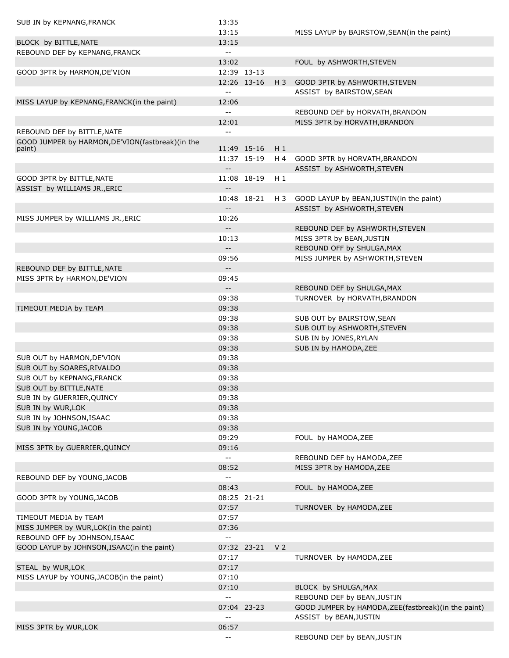| SUB IN by KEPNANG, FRANCK                         | 13:35                      |             |                |                                                     |
|---------------------------------------------------|----------------------------|-------------|----------------|-----------------------------------------------------|
|                                                   | 13:15                      |             |                | MISS LAYUP by BAIRSTOW, SEAN(in the paint)          |
| BLOCK by BITTLE, NATE                             | 13:15                      |             |                |                                                     |
| REBOUND DEF by KEPNANG, FRANCK                    | $\overline{\phantom{a}}$   |             |                |                                                     |
|                                                   | 13:02                      |             |                | FOUL by ASHWORTH, STEVEN                            |
| GOOD 3PTR by HARMON, DE'VION                      |                            | 12:39 13-13 |                |                                                     |
|                                                   |                            | 12:26 13-16 | $H_3$          | GOOD 3PTR by ASHWORTH, STEVEN                       |
|                                                   | $\overline{a}$             |             |                | ASSIST by BAIRSTOW, SEAN                            |
|                                                   |                            |             |                |                                                     |
| MISS LAYUP by KEPNANG, FRANCK (in the paint)      | 12:06                      |             |                |                                                     |
|                                                   | $-1$                       |             |                | REBOUND DEF by HORVATH, BRANDON                     |
|                                                   | 12:01                      |             |                | MISS 3PTR by HORVATH, BRANDON                       |
| REBOUND DEF by BITTLE, NATE                       | $-$                        |             |                |                                                     |
| GOOD JUMPER by HARMON, DE'VION(fastbreak) (in the |                            |             |                |                                                     |
| paint)                                            |                            | 11:49 15-16 | $H_1$          |                                                     |
|                                                   |                            | 11:37 15-19 | H 4            | GOOD 3PTR by HORVATH, BRANDON                       |
|                                                   | $\overline{\phantom{m}}$   |             |                | ASSIST by ASHWORTH, STEVEN                          |
| GOOD 3PTR by BITTLE, NATE                         |                            | 11:08 18-19 | $H_1$          |                                                     |
| ASSIST by WILLIAMS JR., ERIC                      | $\overline{\phantom{m}}$ . |             |                |                                                     |
|                                                   |                            | 10:48 18-21 | H 3            | GOOD LAYUP by BEAN, JUSTIN(in the paint)            |
|                                                   | $\overline{\phantom{a}}$   |             |                | ASSIST by ASHWORTH, STEVEN                          |
| MISS JUMPER by WILLIAMS JR., ERIC                 | 10:26                      |             |                |                                                     |
|                                                   | $- -$                      |             |                | REBOUND DEF by ASHWORTH, STEVEN                     |
|                                                   | 10:13                      |             |                | MISS 3PTR by BEAN, JUSTIN                           |
|                                                   | $\overline{\phantom{a}}$   |             |                | REBOUND OFF by SHULGA, MAX                          |
|                                                   | 09:56                      |             |                | MISS JUMPER by ASHWORTH, STEVEN                     |
| REBOUND DEF by BITTLE, NATE                       | $\overline{\phantom{a}}$   |             |                |                                                     |
| MISS 3PTR by HARMON, DE'VION                      | 09:45                      |             |                |                                                     |
|                                                   | $\overline{\phantom{a}}$ . |             |                | REBOUND DEF by SHULGA, MAX                          |
|                                                   | 09:38                      |             |                | TURNOVER by HORVATH, BRANDON                        |
| TIMEOUT MEDIA by TEAM                             | 09:38                      |             |                |                                                     |
|                                                   |                            |             |                |                                                     |
|                                                   | 09:38                      |             |                | SUB OUT by BAIRSTOW, SEAN                           |
|                                                   | 09:38                      |             |                | SUB OUT by ASHWORTH, STEVEN                         |
|                                                   | 09:38                      |             |                | SUB IN by JONES, RYLAN                              |
|                                                   | 09:38                      |             |                | SUB IN by HAMODA, ZEE                               |
| SUB OUT by HARMON, DE'VION                        | 09:38                      |             |                |                                                     |
| SUB OUT by SOARES, RIVALDO                        | 09:38                      |             |                |                                                     |
| SUB OUT by KEPNANG, FRANCK                        | 09:38                      |             |                |                                                     |
| SUB OUT by BITTLE, NATE                           | 09:38                      |             |                |                                                     |
| SUB IN by GUERRIER, QUINCY                        | 09:38                      |             |                |                                                     |
| SUB IN by WUR, LOK                                | 09:38                      |             |                |                                                     |
| SUB IN by JOHNSON, ISAAC                          | 09:38                      |             |                |                                                     |
| SUB IN by YOUNG, JACOB                            | 09:38                      |             |                |                                                     |
|                                                   | 09:29                      |             |                | FOUL by HAMODA, ZEE                                 |
| MISS 3PTR by GUERRIER, QUINCY                     | 09:16                      |             |                |                                                     |
|                                                   | $\overline{a}$             |             |                | REBOUND DEF by HAMODA, ZEE                          |
|                                                   | 08:52                      |             |                | MISS 3PTR by HAMODA, ZEE                            |
| REBOUND DEF by YOUNG, JACOB                       | $\overline{\phantom{a}}$   |             |                |                                                     |
|                                                   |                            |             |                |                                                     |
|                                                   | 08:43                      |             |                | FOUL by HAMODA, ZEE                                 |
| GOOD 3PTR by YOUNG, JACOB                         |                            | 08:25 21-21 |                |                                                     |
|                                                   | 07:57                      |             |                | TURNOVER by HAMODA, ZEE                             |
| TIMEOUT MEDIA by TEAM                             | 07:57                      |             |                |                                                     |
| MISS JUMPER by WUR, LOK(in the paint)             | 07:36                      |             |                |                                                     |
| REBOUND OFF by JOHNSON, ISAAC                     | $\overline{a}$             |             |                |                                                     |
| GOOD LAYUP by JOHNSON, ISAAC(in the paint)        |                            | 07:32 23-21 | V <sub>2</sub> |                                                     |
|                                                   | 07:17                      |             |                | TURNOVER by HAMODA, ZEE                             |
| STEAL by WUR, LOK                                 | 07:17                      |             |                |                                                     |
| MISS LAYUP by YOUNG, JACOB(in the paint)          | 07:10                      |             |                |                                                     |
|                                                   | 07:10                      |             |                | BLOCK by SHULGA, MAX                                |
|                                                   | $-$                        |             |                | REBOUND DEF by BEAN, JUSTIN                         |
|                                                   |                            | 07:04 23-23 |                | GOOD JUMPER by HAMODA, ZEE(fastbreak)(in the paint) |
|                                                   |                            |             |                | ASSIST by BEAN, JUSTIN                              |
| MISS 3PTR by WUR, LOK                             | 06:57                      |             |                |                                                     |
|                                                   | $\overline{\phantom{m}}$   |             |                | REBOUND DEF by BEAN, JUSTIN                         |
|                                                   |                            |             |                |                                                     |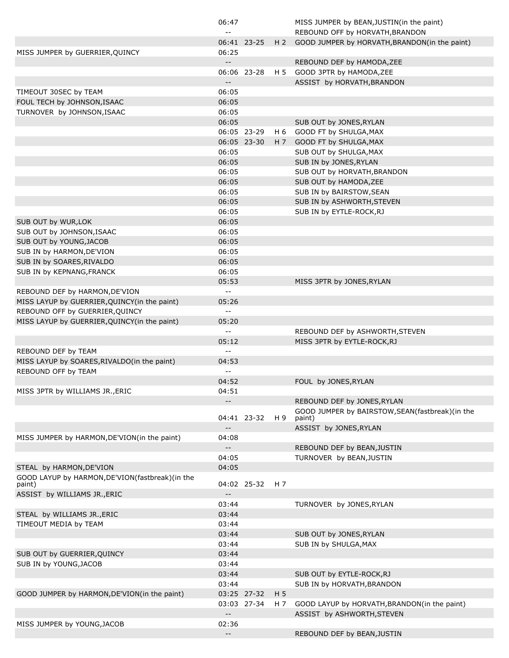|                                                 | 06:47                                         |             |                | MISS JUMPER by BEAN, JUSTIN(in the paint)                 |
|-------------------------------------------------|-----------------------------------------------|-------------|----------------|-----------------------------------------------------------|
|                                                 | $ -$                                          |             |                | REBOUND OFF by HORVATH, BRANDON                           |
|                                                 |                                               | 06:41 23-25 | H <sub>2</sub> | GOOD JUMPER by HORVATH, BRANDON(in the paint)             |
| MISS JUMPER by GUERRIER, QUINCY                 | 06:25                                         |             |                |                                                           |
|                                                 | $- -$                                         |             |                | REBOUND DEF by HAMODA, ZEE                                |
|                                                 |                                               | 06:06 23-28 | H 5            | GOOD 3PTR by HAMODA, ZEE                                  |
|                                                 | $- -$                                         |             |                | ASSIST by HORVATH, BRANDON                                |
| TIMEOUT 30SEC by TEAM                           | 06:05                                         |             |                |                                                           |
| FOUL TECH by JOHNSON, ISAAC                     | 06:05                                         |             |                |                                                           |
| TURNOVER by JOHNSON, ISAAC                      | 06:05                                         |             |                |                                                           |
|                                                 | 06:05                                         |             |                | SUB OUT by JONES, RYLAN                                   |
|                                                 |                                               | 06:05 23-29 | H 6            | GOOD FT by SHULGA, MAX                                    |
|                                                 |                                               | 06:05 23-30 | H 7            | GOOD FT by SHULGA, MAX                                    |
|                                                 | 06:05                                         |             |                | SUB OUT by SHULGA, MAX                                    |
|                                                 | 06:05                                         |             |                | SUB IN by JONES, RYLAN                                    |
|                                                 | 06:05                                         |             |                | SUB OUT by HORVATH, BRANDON                               |
|                                                 | 06:05                                         |             |                | SUB OUT by HAMODA, ZEE                                    |
|                                                 | 06:05                                         |             |                | SUB IN by BAIRSTOW, SEAN                                  |
|                                                 | 06:05                                         |             |                | SUB IN by ASHWORTH, STEVEN                                |
|                                                 | 06:05                                         |             |                | SUB IN by EYTLE-ROCK, RJ                                  |
| SUB OUT by WUR, LOK                             | 06:05                                         |             |                |                                                           |
| SUB OUT by JOHNSON, ISAAC                       | 06:05                                         |             |                |                                                           |
| SUB OUT by YOUNG, JACOB                         | 06:05                                         |             |                |                                                           |
| SUB IN by HARMON, DE'VION                       | 06:05                                         |             |                |                                                           |
| SUB IN by SOARES, RIVALDO                       | 06:05                                         |             |                |                                                           |
| SUB IN by KEPNANG, FRANCK                       | 06:05                                         |             |                |                                                           |
|                                                 | 05:53                                         |             |                | MISS 3PTR by JONES, RYLAN                                 |
| REBOUND DEF by HARMON, DE'VION                  | $\sim$ $\sim$                                 |             |                |                                                           |
| MISS LAYUP by GUERRIER, QUINCY (in the paint)   | 05:26                                         |             |                |                                                           |
| REBOUND OFF by GUERRIER, QUINCY                 | $\sim$ $\sim$                                 |             |                |                                                           |
| MISS LAYUP by GUERRIER, QUINCY (in the paint)   | 05:20                                         |             |                |                                                           |
|                                                 | $ -$                                          |             |                | REBOUND DEF by ASHWORTH, STEVEN                           |
|                                                 | 05:12                                         |             |                | MISS 3PTR by EYTLE-ROCK, RJ                               |
| REBOUND DEF by TEAM                             | $ -$                                          |             |                |                                                           |
| MISS LAYUP by SOARES, RIVALDO(in the paint)     | 04:53                                         |             |                |                                                           |
| REBOUND OFF by TEAM                             | $\sim$ $-$                                    |             |                |                                                           |
|                                                 | 04:52                                         |             |                | FOUL by JONES, RYLAN                                      |
| MISS 3PTR by WILLIAMS JR., ERIC                 | 04:51                                         |             |                |                                                           |
|                                                 | $-$                                           |             |                | REBOUND DEF by JONES, RYLAN                               |
|                                                 |                                               | 04:41 23-32 | H 9            | GOOD JUMPER by BAIRSTOW, SEAN(fastbreak)(in the<br>paint) |
|                                                 |                                               |             |                | ASSIST by JONES, RYLAN                                    |
| MISS JUMPER by HARMON, DE'VION(in the paint)    | 04:08                                         |             |                |                                                           |
|                                                 | $-$                                           |             |                | REBOUND DEF by BEAN, JUSTIN                               |
|                                                 | 04:05                                         |             |                | TURNOVER by BEAN, JUSTIN                                  |
| STEAL by HARMON, DE'VION                        | 04:05                                         |             |                |                                                           |
| GOOD LAYUP by HARMON, DE'VION(fastbreak)(in the |                                               |             |                |                                                           |
| paint)                                          |                                               | 04:02 25-32 | H 7            |                                                           |
| ASSIST by WILLIAMS JR., ERIC                    | $\mathord{\hspace{1pt}\text{--}\hspace{1pt}}$ |             |                |                                                           |
|                                                 | 03:44                                         |             |                | TURNOVER by JONES, RYLAN                                  |
| STEAL by WILLIAMS JR., ERIC                     | 03:44                                         |             |                |                                                           |
| TIMEOUT MEDIA by TEAM                           | 03:44                                         |             |                |                                                           |
|                                                 | 03:44                                         |             |                | SUB OUT by JONES, RYLAN                                   |
|                                                 | 03:44                                         |             |                | SUB IN by SHULGA, MAX                                     |
| SUB OUT by GUERRIER, QUINCY                     | 03:44                                         |             |                |                                                           |
| SUB IN by YOUNG, JACOB                          | 03:44                                         |             |                |                                                           |
|                                                 | 03:44                                         |             |                | SUB OUT by EYTLE-ROCK, RJ                                 |
|                                                 | 03:44                                         |             |                | SUB IN by HORVATH, BRANDON                                |
| GOOD JUMPER by HARMON, DE'VION(in the paint)    |                                               | 03:25 27-32 | H <sub>5</sub> |                                                           |
|                                                 |                                               | 03:03 27-34 | H 7            | GOOD LAYUP by HORVATH, BRANDON(in the paint)              |
|                                                 | $\overline{\phantom{a}}$                      |             |                | ASSIST by ASHWORTH, STEVEN                                |
| MISS JUMPER by YOUNG, JACOB                     | 02:36                                         |             |                |                                                           |
|                                                 | $\overline{\phantom{a}}$                      |             |                | REBOUND DEF by BEAN, JUSTIN                               |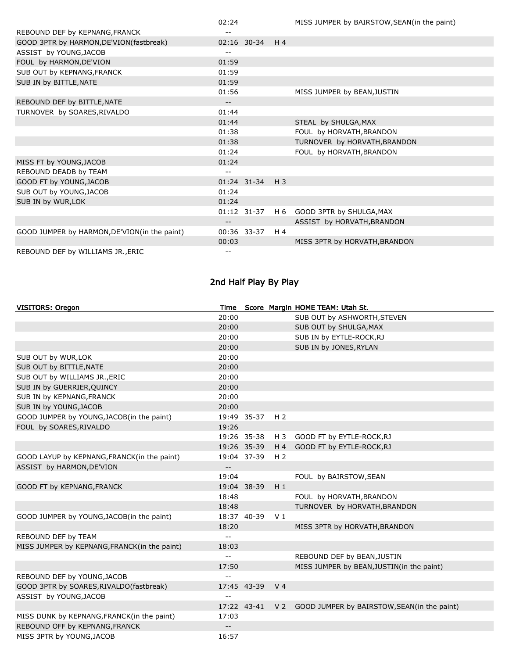|                                              | 02:24             |                 |                | MISS JUMPER by BAIRSTOW, SEAN(in the paint) |
|----------------------------------------------|-------------------|-----------------|----------------|---------------------------------------------|
| REBOUND DEF by KEPNANG, FRANCK               |                   |                 |                |                                             |
| GOOD 3PTR by HARMON, DE'VION(fastbreak)      |                   | 02:16 30-34 H4  |                |                                             |
| ASSIST by YOUNG, JACOB                       | --                |                 |                |                                             |
| FOUL by HARMON, DE'VION                      | 01:59             |                 |                |                                             |
| SUB OUT by KEPNANG, FRANCK                   | 01:59             |                 |                |                                             |
| SUB IN by BITTLE, NATE                       | 01:59             |                 |                |                                             |
|                                              | 01:56             |                 |                | MISS JUMPER by BEAN, JUSTIN                 |
| REBOUND DEF by BITTLE, NATE                  | $\qquad \qquad -$ |                 |                |                                             |
| TURNOVER by SOARES, RIVALDO                  | 01:44             |                 |                |                                             |
|                                              | 01:44             |                 |                | STEAL by SHULGA, MAX                        |
|                                              | 01:38             |                 |                | FOUL by HORVATH, BRANDON                    |
|                                              | 01:38             |                 |                | TURNOVER by HORVATH, BRANDON                |
|                                              | 01:24             |                 |                | FOUL by HORVATH, BRANDON                    |
| MISS FT by YOUNG, JACOB                      | 01:24             |                 |                |                                             |
| REBOUND DEADB by TEAM                        | $- -$             |                 |                |                                             |
| GOOD FT by YOUNG, JACOB                      |                   | 01:24 31-34 H 3 |                |                                             |
| SUB OUT by YOUNG, JACOB                      | 01:24             |                 |                |                                             |
| SUB IN by WUR, LOK                           | 01:24             |                 |                |                                             |
|                                              |                   | $01:12$ 31-37   | H 6            | GOOD 3PTR by SHULGA, MAX                    |
|                                              | --                |                 |                | ASSIST by HORVATH, BRANDON                  |
| GOOD JUMPER by HARMON, DE'VION(in the paint) |                   | 00:36 33-37     | H <sub>4</sub> |                                             |
|                                              | 00:03             |                 |                | MISS 3PTR by HORVATH, BRANDON               |
| REBOUND DEF by WILLIAMS JR., ERIC            |                   |                 |                |                                             |

# 2nd Half Play By Play

| <b>VISITORS: Oregon</b>                      |                          |             |                | Time Score Margin HOME TEAM: Utah St.                       |
|----------------------------------------------|--------------------------|-------------|----------------|-------------------------------------------------------------|
|                                              | 20:00                    |             |                | SUB OUT by ASHWORTH, STEVEN                                 |
|                                              | 20:00                    |             |                | SUB OUT by SHULGA, MAX                                      |
|                                              | 20:00                    |             |                | SUB IN by EYTLE-ROCK, RJ                                    |
|                                              | 20:00                    |             |                | SUB IN by JONES, RYLAN                                      |
| SUB OUT by WUR, LOK                          | 20:00                    |             |                |                                                             |
| SUB OUT by BITTLE, NATE                      | 20:00                    |             |                |                                                             |
| SUB OUT by WILLIAMS JR., ERIC                | 20:00                    |             |                |                                                             |
| SUB IN by GUERRIER, QUINCY                   | 20:00                    |             |                |                                                             |
| SUB IN by KEPNANG, FRANCK                    | 20:00                    |             |                |                                                             |
| SUB IN by YOUNG, JACOB                       | 20:00                    |             |                |                                                             |
| GOOD JUMPER by YOUNG, JACOB(in the paint)    |                          | 19:49 35-37 | H <sub>2</sub> |                                                             |
| FOUL by SOARES, RIVALDO                      | 19:26                    |             |                |                                                             |
|                                              |                          | 19:26 35-38 | H 3            | GOOD FT by EYTLE-ROCK, RJ                                   |
|                                              |                          | 19:26 35-39 | $H_4$          | GOOD FT by EYTLE-ROCK, RJ                                   |
| GOOD LAYUP by KEPNANG, FRANCK(in the paint)  |                          | 19:04 37-39 | H <sub>2</sub> |                                                             |
| ASSIST by HARMON, DE'VION                    | $\overline{\phantom{a}}$ |             |                |                                                             |
|                                              | 19:04                    |             |                | FOUL by BAIRSTOW, SEAN                                      |
| GOOD FT by KEPNANG, FRANCK                   |                          | 19:04 38-39 | $H_1$          |                                                             |
|                                              | 18:48                    |             |                | FOUL by HORVATH, BRANDON                                    |
|                                              | 18:48                    |             |                | TURNOVER by HORVATH, BRANDON                                |
| GOOD JUMPER by YOUNG, JACOB(in the paint)    |                          | 18:37 40-39 | V <sub>1</sub> |                                                             |
|                                              | 18:20                    |             |                | MISS 3PTR by HORVATH, BRANDON                               |
| REBOUND DEF by TEAM                          | $-$                      |             |                |                                                             |
| MISS JUMPER by KEPNANG, FRANCK(in the paint) | 18:03                    |             |                |                                                             |
|                                              | $\overline{a}$           |             |                | REBOUND DEF by BEAN, JUSTIN                                 |
|                                              | 17:50                    |             |                | MISS JUMPER by BEAN, JUSTIN(in the paint)                   |
| REBOUND DEF by YOUNG, JACOB                  | $-$                      |             |                |                                                             |
| GOOD 3PTR by SOARES, RIVALDO (fastbreak)     |                          | 17:45 43-39 | V <sub>4</sub> |                                                             |
| ASSIST by YOUNG, JACOB                       | $-$                      |             |                |                                                             |
|                                              |                          |             |                | 17:22 43-41 V 2 GOOD JUMPER by BAIRSTOW, SEAN(in the paint) |
| MISS DUNK by KEPNANG, FRANCK(in the paint)   | 17:03                    |             |                |                                                             |
| REBOUND OFF by KEPNANG, FRANCK               | $-$                      |             |                |                                                             |
| MISS 3PTR by YOUNG, JACOB                    | 16:57                    |             |                |                                                             |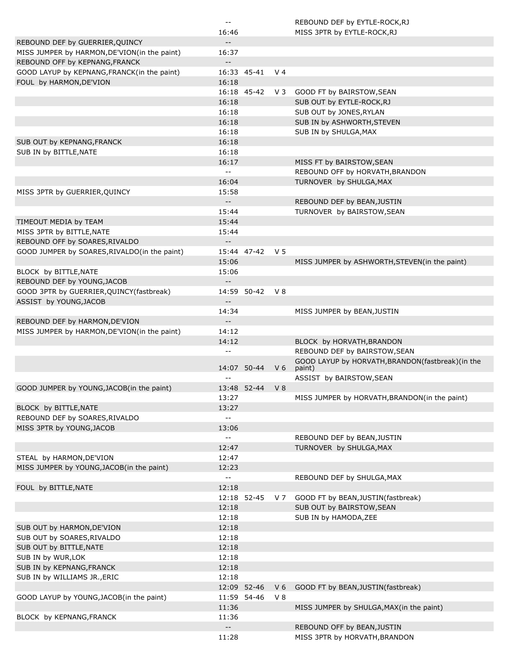|                                                                                | $\mathord{\hspace{1pt}\text{--}\hspace{1pt}}$ |             |                | REBOUND DEF by EYTLE-ROCK, RJ                    |
|--------------------------------------------------------------------------------|-----------------------------------------------|-------------|----------------|--------------------------------------------------|
|                                                                                | 16:46                                         |             |                | MISS 3PTR by EYTLE-ROCK, RJ                      |
| REBOUND DEF by GUERRIER, QUINCY                                                | $-$                                           |             |                |                                                  |
| MISS JUMPER by HARMON, DE'VION(in the paint)<br>REBOUND OFF by KEPNANG, FRANCK | 16:37<br>$\overline{\phantom{a}}$             |             |                |                                                  |
| GOOD LAYUP by KEPNANG, FRANCK(in the paint)                                    |                                               | 16:33 45-41 | V <sub>4</sub> |                                                  |
| FOUL by HARMON, DE'VION                                                        | 16:18                                         |             |                |                                                  |
|                                                                                |                                               | 16:18 45-42 | $V_3$          | GOOD FT by BAIRSTOW, SEAN                        |
|                                                                                | 16:18                                         |             |                | SUB OUT by EYTLE-ROCK, RJ                        |
|                                                                                | 16:18                                         |             |                |                                                  |
|                                                                                |                                               |             |                | SUB OUT by JONES, RYLAN                          |
|                                                                                | 16:18                                         |             |                | SUB IN by ASHWORTH, STEVEN                       |
|                                                                                | 16:18                                         |             |                | SUB IN by SHULGA, MAX                            |
| SUB OUT by KEPNANG, FRANCK                                                     | 16:18                                         |             |                |                                                  |
| SUB IN by BITTLE, NATE                                                         | 16:18                                         |             |                |                                                  |
|                                                                                | 16:17                                         |             |                | MISS FT by BAIRSTOW, SEAN                        |
|                                                                                | $\overline{\phantom{a}}$                      |             |                | REBOUND OFF by HORVATH, BRANDON                  |
|                                                                                | 16:04                                         |             |                | TURNOVER by SHULGA, MAX                          |
| MISS 3PTR by GUERRIER, QUINCY                                                  | 15:58                                         |             |                |                                                  |
|                                                                                | $\overline{\phantom{a}}$                      |             |                | REBOUND DEF by BEAN, JUSTIN                      |
|                                                                                | 15:44                                         |             |                | TURNOVER by BAIRSTOW, SEAN                       |
| TIMEOUT MEDIA by TEAM                                                          | 15:44                                         |             |                |                                                  |
| MISS 3PTR by BITTLE, NATE                                                      | 15:44                                         |             |                |                                                  |
| REBOUND OFF by SOARES, RIVALDO                                                 |                                               |             |                |                                                  |
|                                                                                | $\overline{\phantom{a}}$                      |             |                |                                                  |
| GOOD JUMPER by SOARES, RIVALDO(in the paint)                                   |                                               | 15:44 47-42 | V <sub>5</sub> |                                                  |
|                                                                                | 15:06                                         |             |                | MISS JUMPER by ASHWORTH, STEVEN(in the paint)    |
| BLOCK by BITTLE, NATE                                                          | 15:06                                         |             |                |                                                  |
| REBOUND DEF by YOUNG, JACOB                                                    | $\overline{\phantom{a}}$                      |             |                |                                                  |
| GOOD 3PTR by GUERRIER, QUINCY (fastbreak)                                      |                                               | 14:59 50-42 | <b>V8</b>      |                                                  |
| ASSIST by YOUNG, JACOB                                                         | $\overline{\phantom{a}}$                      |             |                |                                                  |
|                                                                                | 14:34                                         |             |                | MISS JUMPER by BEAN, JUSTIN                      |
| REBOUND DEF by HARMON, DE'VION                                                 | $-$                                           |             |                |                                                  |
| MISS JUMPER by HARMON, DE'VION(in the paint)                                   | 14:12                                         |             |                |                                                  |
|                                                                                | 14:12                                         |             |                | BLOCK by HORVATH, BRANDON                        |
|                                                                                | --                                            |             |                | REBOUND DEF by BAIRSTOW, SEAN                    |
|                                                                                |                                               |             |                | GOOD LAYUP by HORVATH, BRANDON(fastbreak)(in the |
|                                                                                |                                               | 14:07 50-44 | V <sub>6</sub> | paint)                                           |
|                                                                                | $-$                                           |             |                | ASSIST by BAIRSTOW, SEAN                         |
| GOOD JUMPER by YOUNG, JACOB(in the paint)                                      |                                               | 13:48 52-44 | V <sub>8</sub> |                                                  |
|                                                                                | 13:27                                         |             |                | MISS JUMPER by HORVATH, BRANDON(in the paint)    |
| BLOCK by BITTLE, NATE                                                          | 13:27                                         |             |                |                                                  |
| REBOUND DEF by SOARES, RIVALDO                                                 | $\overline{a}$                                |             |                |                                                  |
|                                                                                | 13:06                                         |             |                |                                                  |
| MISS 3PTR by YOUNG, JACOB                                                      |                                               |             |                |                                                  |
|                                                                                | $\overline{a}$                                |             |                | REBOUND DEF by BEAN, JUSTIN                      |
|                                                                                | 12:47                                         |             |                | TURNOVER by SHULGA, MAX                          |
| STEAL by HARMON, DE'VION                                                       | 12:47                                         |             |                |                                                  |
| MISS JUMPER by YOUNG, JACOB(in the paint)                                      | 12:23                                         |             |                |                                                  |
|                                                                                | $-$                                           |             |                | REBOUND DEF by SHULGA, MAX                       |
| FOUL by BITTLE, NATE                                                           | 12:18                                         |             |                |                                                  |
|                                                                                |                                               | 12:18 52-45 | V 7            | GOOD FT by BEAN, JUSTIN(fastbreak)               |
|                                                                                | 12:18                                         |             |                | SUB OUT by BAIRSTOW, SEAN                        |
|                                                                                | 12:18                                         |             |                | SUB IN by HAMODA, ZEE                            |
| SUB OUT by HARMON, DE'VION                                                     | 12:18                                         |             |                |                                                  |
| SUB OUT by SOARES, RIVALDO                                                     | 12:18                                         |             |                |                                                  |
| SUB OUT by BITTLE, NATE                                                        | 12:18                                         |             |                |                                                  |
| SUB IN by WUR, LOK                                                             | 12:18                                         |             |                |                                                  |
|                                                                                |                                               |             |                |                                                  |
| SUB IN by KEPNANG, FRANCK                                                      | 12:18                                         |             |                |                                                  |
| SUB IN by WILLIAMS JR., ERIC                                                   | 12:18                                         |             |                |                                                  |
|                                                                                |                                               | 12:09 52-46 | V <sub>6</sub> | GOOD FT by BEAN, JUSTIN (fastbreak)              |
| GOOD LAYUP by YOUNG, JACOB(in the paint)                                       |                                               | 11:59 54-46 | $V_8$          |                                                  |
|                                                                                | 11:36                                         |             |                | MISS JUMPER by SHULGA, MAX(in the paint)         |
| BLOCK by KEPNANG, FRANCK                                                       |                                               |             |                |                                                  |
|                                                                                | 11:36                                         |             |                |                                                  |
|                                                                                | $\overline{\phantom{a}}$                      |             |                | REBOUND OFF by BEAN, JUSTIN                      |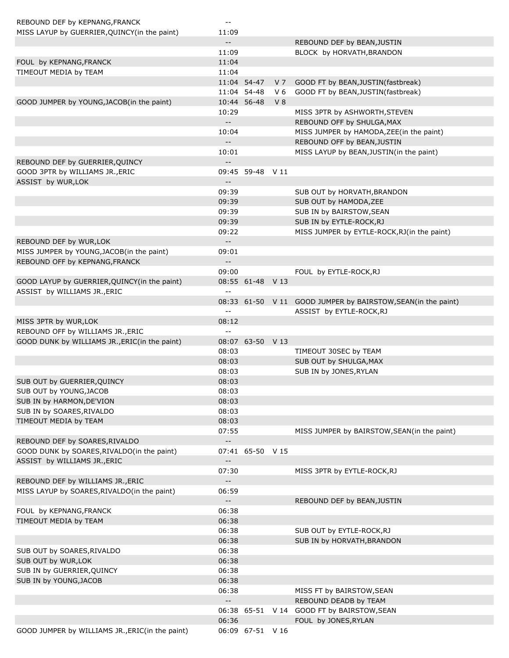| REBOUND DEF by KEPNANG, FRANCK                  | $\mathbf{m}$               |                  |                |                                                              |
|-------------------------------------------------|----------------------------|------------------|----------------|--------------------------------------------------------------|
| MISS LAYUP by GUERRIER, QUINCY (in the paint)   | 11:09                      |                  |                |                                                              |
|                                                 | $- -$                      |                  |                | REBOUND DEF by BEAN, JUSTIN                                  |
|                                                 | 11:09                      |                  |                | BLOCK by HORVATH, BRANDON                                    |
| FOUL by KEPNANG, FRANCK                         | 11:04                      |                  |                |                                                              |
| TIMEOUT MEDIA by TEAM                           | 11:04                      |                  |                |                                                              |
|                                                 |                            | 11:04 54-47      | V 7            | GOOD FT by BEAN, JUSTIN(fastbreak)                           |
|                                                 |                            | 11:04 54-48      | V <sub>6</sub> | GOOD FT by BEAN, JUSTIN (fastbreak)                          |
| GOOD JUMPER by YOUNG, JACOB(in the paint)       |                            | 10:44 56-48      | V <sub>8</sub> |                                                              |
|                                                 | 10:29                      |                  |                | MISS 3PTR by ASHWORTH, STEVEN                                |
|                                                 | $-$                        |                  |                | REBOUND OFF by SHULGA, MAX                                   |
|                                                 | 10:04                      |                  |                | MISS JUMPER by HAMODA, ZEE(in the paint)                     |
|                                                 | $-$                        |                  |                | REBOUND OFF by BEAN, JUSTIN                                  |
|                                                 | 10:01                      |                  |                | MISS LAYUP by BEAN, JUSTIN(in the paint)                     |
| REBOUND DEF by GUERRIER, QUINCY                 | $\overline{\phantom{a}}$   |                  |                |                                                              |
| GOOD 3PTR by WILLIAMS JR., ERIC                 |                            | 09:45 59-48 V 11 |                |                                                              |
| ASSIST by WUR, LOK                              | $\overline{\phantom{a}}$   |                  |                |                                                              |
|                                                 | 09:39                      |                  |                | SUB OUT by HORVATH, BRANDON                                  |
|                                                 | 09:39                      |                  |                | SUB OUT by HAMODA, ZEE                                       |
|                                                 | 09:39                      |                  |                | SUB IN by BAIRSTOW, SEAN                                     |
|                                                 | 09:39                      |                  |                | SUB IN by EYTLE-ROCK, RJ                                     |
|                                                 | 09:22                      |                  |                | MISS JUMPER by EYTLE-ROCK, RJ(in the paint)                  |
| REBOUND DEF by WUR, LOK                         | $- -$                      |                  |                |                                                              |
| MISS JUMPER by YOUNG, JACOB(in the paint)       | 09:01                      |                  |                |                                                              |
| REBOUND OFF by KEPNANG, FRANCK                  | $-$                        |                  |                |                                                              |
|                                                 | 09:00                      |                  |                | FOUL by EYTLE-ROCK, RJ                                       |
| GOOD LAYUP by GUERRIER, QUINCY (in the paint)   |                            | 08:55 61-48 V 13 |                |                                                              |
| ASSIST by WILLIAMS JR., ERIC                    | $\sim$ $\sim$              |                  |                |                                                              |
|                                                 |                            |                  |                | 08:33 61-50 V 11 GOOD JUMPER by BAIRSTOW, SEAN(in the paint) |
|                                                 | $\overline{\phantom{a}}$   |                  |                | ASSIST by EYTLE-ROCK, RJ                                     |
| MISS 3PTR by WUR, LOK                           | 08:12                      |                  |                |                                                              |
| REBOUND OFF by WILLIAMS JR., ERIC               | $\overline{a}$             |                  |                |                                                              |
| GOOD DUNK by WILLIAMS JR., ERIC(in the paint)   |                            | 08:07 63-50 V 13 |                |                                                              |
|                                                 | 08:03                      |                  |                | TIMEOUT 30SEC by TEAM                                        |
|                                                 | 08:03                      |                  |                | SUB OUT by SHULGA, MAX                                       |
|                                                 | 08:03                      |                  |                | SUB IN by JONES, RYLAN                                       |
| SUB OUT by GUERRIER, QUINCY                     | 08:03                      |                  |                |                                                              |
| SUB OUT by YOUNG, JACOB                         | 08:03                      |                  |                |                                                              |
| SUB IN by HARMON, DE'VION                       | 08:03                      |                  |                |                                                              |
| SUB IN by SOARES, RIVALDO                       | 08:03                      |                  |                |                                                              |
| TIMEOUT MEDIA by TEAM                           | 08:03                      |                  |                |                                                              |
|                                                 | 07:55                      |                  |                | MISS JUMPER by BAIRSTOW, SEAN(in the paint)                  |
| REBOUND DEF by SOARES, RIVALDO                  | $--$                       |                  |                |                                                              |
| GOOD DUNK by SOARES, RIVALDO(in the paint)      |                            | 07:41 65-50 V 15 |                |                                                              |
| ASSIST by WILLIAMS JR., ERIC                    | $\overline{\phantom{a}}$ . |                  |                |                                                              |
|                                                 | 07:30                      |                  |                | MISS 3PTR by EYTLE-ROCK, RJ                                  |
| REBOUND DEF by WILLIAMS JR., ERIC               | $\overline{\phantom{a}}$   |                  |                |                                                              |
| MISS LAYUP by SOARES, RIVALDO(in the paint)     | 06:59                      |                  |                |                                                              |
|                                                 | $-$                        |                  |                | REBOUND DEF by BEAN, JUSTIN                                  |
| FOUL by KEPNANG, FRANCK                         | 06:38                      |                  |                |                                                              |
| TIMEOUT MEDIA by TEAM                           | 06:38                      |                  |                |                                                              |
|                                                 | 06:38                      |                  |                | SUB OUT by EYTLE-ROCK, RJ                                    |
|                                                 | 06:38                      |                  |                | SUB IN by HORVATH, BRANDON                                   |
| SUB OUT by SOARES, RIVALDO                      | 06:38                      |                  |                |                                                              |
| SUB OUT by WUR, LOK                             | 06:38                      |                  |                |                                                              |
| SUB IN by GUERRIER, QUINCY                      | 06:38                      |                  |                |                                                              |
| SUB IN by YOUNG, JACOB                          | 06:38                      |                  |                |                                                              |
|                                                 | 06:38                      |                  |                | MISS FT by BAIRSTOW, SEAN                                    |
|                                                 | $\overline{\phantom{a}}$   |                  |                | REBOUND DEADB by TEAM                                        |
|                                                 |                            | 06:38 65-51 V 14 |                | GOOD FT by BAIRSTOW, SEAN                                    |
|                                                 | 06:36                      |                  |                | FOUL by JONES, RYLAN                                         |
| GOOD JUMPER by WILLIAMS JR., ERIC(in the paint) |                            | 06:09 67-51 V 16 |                |                                                              |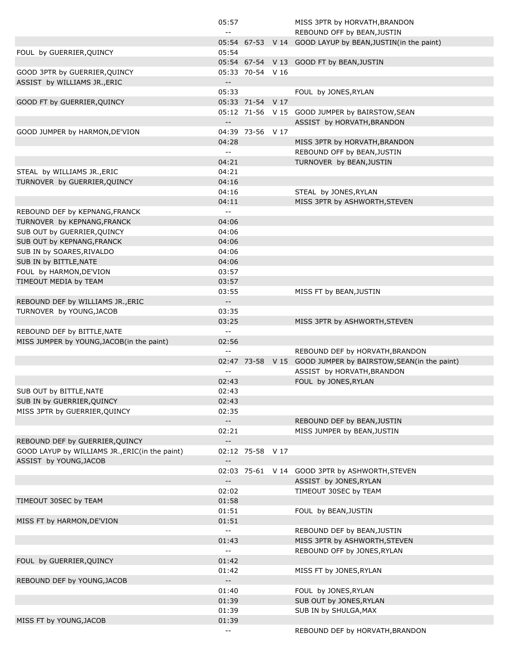|                                                | 05:57                                         |                  | MISS 3PTR by HORVATH, BRANDON                                 |
|------------------------------------------------|-----------------------------------------------|------------------|---------------------------------------------------------------|
|                                                | $\sim$ $-$                                    |                  | REBOUND OFF by BEAN, JUSTIN                                   |
|                                                |                                               |                  | 05:54 67-53 V 14 GOOD LAYUP by BEAN, JUSTIN(in the paint)     |
| FOUL by GUERRIER, QUINCY                       | 05:54                                         |                  |                                                               |
|                                                |                                               |                  | 05:54 67-54 V 13 GOOD FT by BEAN, JUSTIN                      |
| GOOD 3PTR by GUERRIER, QUINCY                  |                                               | 05:33 70-54 V 16 |                                                               |
| ASSIST by WILLIAMS JR., ERIC                   | $- -$                                         |                  |                                                               |
|                                                | 05:33                                         |                  | FOUL by JONES, RYLAN                                          |
| GOOD FT by GUERRIER, QUINCY                    |                                               | 05:33 71-54 V 17 |                                                               |
|                                                |                                               |                  | 05:12 71-56 V 15 GOOD JUMPER by BAIRSTOW, SEAN                |
|                                                | $\mathord{\hspace{1pt}\text{--}\hspace{1pt}}$ |                  | ASSIST by HORVATH, BRANDON                                    |
| GOOD JUMPER by HARMON, DE'VION                 |                                               | 04:39 73-56 V 17 |                                                               |
|                                                | 04:28                                         |                  | MISS 3PTR by HORVATH, BRANDON                                 |
|                                                | $\sim$ $\sim$                                 |                  | REBOUND OFF by BEAN, JUSTIN                                   |
|                                                | 04:21                                         |                  | TURNOVER by BEAN, JUSTIN                                      |
| STEAL by WILLIAMS JR., ERIC                    | 04:21                                         |                  |                                                               |
| TURNOVER by GUERRIER, QUINCY                   | 04:16                                         |                  |                                                               |
|                                                | 04:16                                         |                  | STEAL by JONES, RYLAN                                         |
|                                                | 04:11                                         |                  | MISS 3PTR by ASHWORTH, STEVEN                                 |
| REBOUND DEF by KEPNANG, FRANCK                 | $\sim$ $\sim$                                 |                  |                                                               |
| TURNOVER by KEPNANG, FRANCK                    | 04:06                                         |                  |                                                               |
| SUB OUT by GUERRIER, QUINCY                    | 04:06                                         |                  |                                                               |
| SUB OUT by KEPNANG, FRANCK                     | 04:06                                         |                  |                                                               |
| SUB IN by SOARES, RIVALDO                      | 04:06                                         |                  |                                                               |
| SUB IN by BITTLE, NATE                         | 04:06                                         |                  |                                                               |
| FOUL by HARMON, DE'VION                        | 03:57                                         |                  |                                                               |
| TIMEOUT MEDIA by TEAM                          | 03:57                                         |                  |                                                               |
|                                                | 03:55                                         |                  | MISS FT by BEAN, JUSTIN                                       |
| REBOUND DEF by WILLIAMS JR., ERIC              | $\mathord{\hspace{1pt}\text{--}\hspace{1pt}}$ |                  |                                                               |
| TURNOVER by YOUNG, JACOB                       | 03:35                                         |                  |                                                               |
|                                                | 03:25                                         |                  | MISS 3PTR by ASHWORTH, STEVEN                                 |
| REBOUND DEF by BITTLE, NATE                    | $\sim$ $\sim$                                 |                  |                                                               |
| MISS JUMPER by YOUNG, JACOB(in the paint)      | 02:56                                         |                  |                                                               |
|                                                | $\sim$ $\sim$                                 |                  | REBOUND DEF by HORVATH, BRANDON                               |
|                                                |                                               |                  | 02:47 73-58 V 15 GOOD JUMPER by BAIRSTOW, SEAN (in the paint) |
|                                                | $-$                                           |                  | ASSIST by HORVATH, BRANDON                                    |
|                                                | 02:43                                         |                  | FOUL by JONES, RYLAN                                          |
| SUB OUT by BITTLE, NATE                        | 02:43                                         |                  |                                                               |
| SUB IN by GUERRIER, QUINCY                     | 02:43                                         |                  |                                                               |
| MISS 3PTR by GUERRIER, QUINCY                  | 02:35                                         |                  |                                                               |
|                                                | $\sim$ $\sim$                                 |                  | REBOUND DEF by BEAN, JUSTIN                                   |
|                                                | 02:21                                         |                  | MISS JUMPER by BEAN, JUSTIN                                   |
| REBOUND DEF by GUERRIER, QUINCY                | $\mathbb{L} \mathbb{L}$                       |                  |                                                               |
| GOOD LAYUP by WILLIAMS JR., ERIC(in the paint) |                                               | 02:12 75-58 V 17 |                                                               |
| ASSIST by YOUNG, JACOB                         | $\overline{\phantom{a}}$ .                    |                  |                                                               |
|                                                |                                               |                  | 02:03 75-61 V 14 GOOD 3PTR by ASHWORTH, STEVEN                |
|                                                | $\mathord{\hspace{1pt}\text{--}\hspace{1pt}}$ |                  | ASSIST by JONES, RYLAN                                        |
|                                                | 02:02                                         |                  | TIMEOUT 30SEC by TEAM                                         |
| TIMEOUT 30SEC by TEAM                          | 01:58                                         |                  |                                                               |
|                                                | 01:51                                         |                  | FOUL by BEAN, JUSTIN                                          |
| MISS FT by HARMON, DE'VION                     | 01:51                                         |                  |                                                               |
|                                                | $\sim$ $\sim$                                 |                  | REBOUND DEF by BEAN, JUSTIN                                   |
|                                                | 01:43                                         |                  | MISS 3PTR by ASHWORTH, STEVEN                                 |
|                                                | $\sim$ $\sim$                                 |                  | REBOUND OFF by JONES, RYLAN                                   |
| FOUL by GUERRIER, QUINCY                       | 01:42                                         |                  |                                                               |
|                                                | 01:42                                         |                  | MISS FT by JONES, RYLAN                                       |
| REBOUND DEF by YOUNG, JACOB                    | $\mathbb{L}^{\mathbb{L}}$                     |                  |                                                               |
|                                                |                                               |                  | FOUL by JONES, RYLAN                                          |
|                                                | 01:40                                         |                  |                                                               |
|                                                | 01:39                                         |                  | SUB OUT by JONES, RYLAN                                       |
|                                                | 01:39                                         |                  | SUB IN by SHULGA, MAX                                         |
| MISS FT by YOUNG, JACOB                        | 01:39                                         |                  | REBOUND DEF by HORVATH, BRANDON                               |